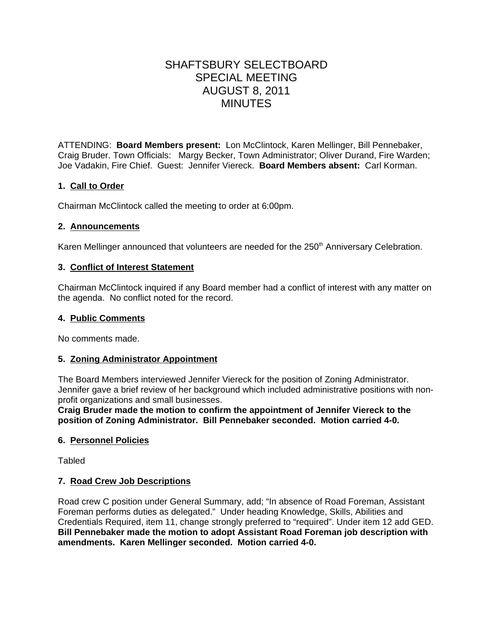# SHAFTSBURY SELECTBOARD SPECIAL MEETING AUGUST 8, 2011 MINUTES

ATTENDING: **Board Members present:** Lon McClintock, Karen Mellinger, Bill Pennebaker, Craig Bruder. Town Officials: Margy Becker, Town Administrator; Oliver Durand, Fire Warden; Joe Vadakin, Fire Chief. Guest: Jennifer Viereck. **Board Members absent:** Carl Korman.

## **1. Call to Order**

Chairman McClintock called the meeting to order at 6:00pm.

## **2. Announcements**

Karen Mellinger announced that volunteers are needed for the 250<sup>th</sup> Anniversary Celebration.

## **3. Conflict of Interest Statement**

Chairman McClintock inquired if any Board member had a conflict of interest with any matter on the agenda. No conflict noted for the record.

## **4. Public Comments**

No comments made.

## **5. Zoning Administrator Appointment**

The Board Members interviewed Jennifer Viereck for the position of Zoning Administrator. Jennifer gave a brief review of her background which included administrative positions with nonprofit organizations and small businesses.

**Craig Bruder made the motion to confirm the appointment of Jennifer Viereck to the position of Zoning Administrator. Bill Pennebaker seconded. Motion carried 4-0.**

## **6. Personnel Policies**

Tabled

## **7. Road Crew Job Descriptions**

Road crew C position under General Summary, add; "In absence of Road Foreman, Assistant Foreman performs duties as delegated." Under heading Knowledge, Skills, Abilities and Credentials Required, item 11, change strongly preferred to "required". Under item 12 add GED. **Bill Pennebaker made the motion to adopt Assistant Road Foreman job description with amendments. Karen Mellinger seconded. Motion carried 4-0.**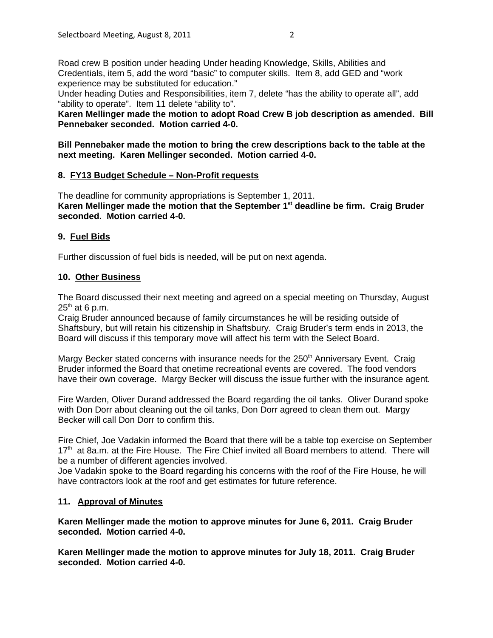Road crew B position under heading Under heading Knowledge, Skills, Abilities and Credentials, item 5, add the word "basic" to computer skills. Item 8, add GED and "work experience may be substituted for education."

Under heading Duties and Responsibilities, item 7, delete "has the ability to operate all", add "ability to operate". Item 11 delete "ability to".

**Karen Mellinger made the motion to adopt Road Crew B job description as amended. Bill Pennebaker seconded. Motion carried 4-0.**

**Bill Pennebaker made the motion to bring the crew descriptions back to the table at the next meeting. Karen Mellinger seconded. Motion carried 4-0.**

## **8. FY13 Budget Schedule – Non-Profit requests**

The deadline for community appropriations is September 1, 2011. **Karen Mellinger made the motion that the September 1st deadline be firm. Craig Bruder seconded. Motion carried 4-0.**

## **9. Fuel Bids**

Further discussion of fuel bids is needed, will be put on next agenda.

## **10. Other Business**

The Board discussed their next meeting and agreed on a special meeting on Thursday, August  $25<sup>th</sup>$  at 6 p.m.

Craig Bruder announced because of family circumstances he will be residing outside of Shaftsbury, but will retain his citizenship in Shaftsbury. Craig Bruder's term ends in 2013, the Board will discuss if this temporary move will affect his term with the Select Board.

Margy Becker stated concerns with insurance needs for the 250<sup>th</sup> Anniversary Event. Craig Bruder informed the Board that onetime recreational events are covered. The food vendors have their own coverage. Margy Becker will discuss the issue further with the insurance agent.

Fire Warden, Oliver Durand addressed the Board regarding the oil tanks. Oliver Durand spoke with Don Dorr about cleaning out the oil tanks, Don Dorr agreed to clean them out. Margy Becker will call Don Dorr to confirm this.

Fire Chief, Joe Vadakin informed the Board that there will be a table top exercise on September 17<sup>th</sup> at 8a.m. at the Fire House. The Fire Chief invited all Board members to attend. There will be a number of different agencies involved.

Joe Vadakin spoke to the Board regarding his concerns with the roof of the Fire House, he will have contractors look at the roof and get estimates for future reference.

#### **11. Approval of Minutes**

**Karen Mellinger made the motion to approve minutes for June 6, 2011. Craig Bruder seconded. Motion carried 4-0.**

**Karen Mellinger made the motion to approve minutes for July 18, 2011. Craig Bruder seconded. Motion carried 4-0.**